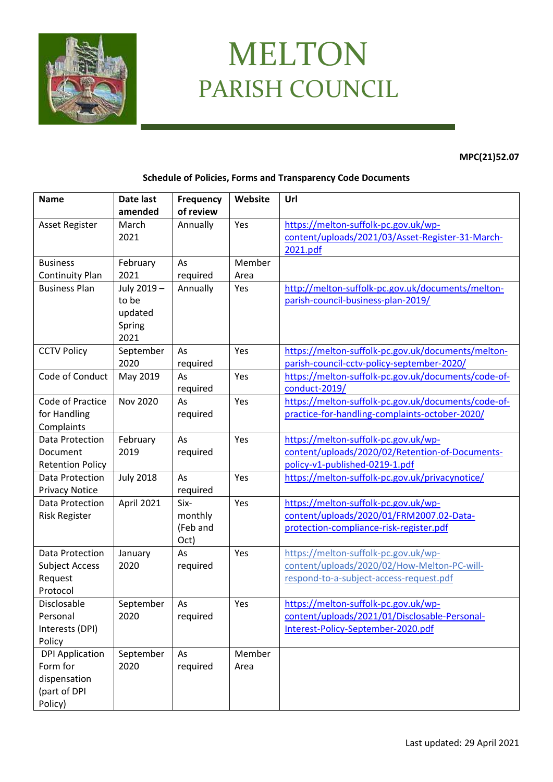

## MELTON PARISH COUNCIL

**MPC(21)52.07**

## **Schedule of Policies, Forms and Transparency Code Documents**

| <b>Name</b>                                    | Date last         | <b>Frequency</b> | Website | Url                                                          |
|------------------------------------------------|-------------------|------------------|---------|--------------------------------------------------------------|
|                                                | amended           | of review        |         |                                                              |
| <b>Asset Register</b>                          | March<br>2021     | Annually         | Yes     | https://melton-suffolk-pc.gov.uk/wp-                         |
|                                                |                   |                  |         | content/uploads/2021/03/Asset-Register-31-March-<br>2021.pdf |
| <b>Business</b>                                | February          | As               | Member  |                                                              |
|                                                | 2021              | required         | Area    |                                                              |
| <b>Continuity Plan</b><br><b>Business Plan</b> | July 2019 -       | Annually         | Yes     | http://melton-suffolk-pc.gov.uk/documents/melton-            |
|                                                | to be             |                  |         | parish-council-business-plan-2019/                           |
|                                                | updated           |                  |         |                                                              |
|                                                | Spring            |                  |         |                                                              |
|                                                | 2021              |                  |         |                                                              |
| <b>CCTV Policy</b>                             | September         | As               | Yes     | https://melton-suffolk-pc.gov.uk/documents/melton-           |
|                                                | 2020              | required         |         | parish-council-cctv-policy-september-2020/                   |
| Code of Conduct                                | May 2019          | As               | Yes     | https://melton-suffolk-pc.gov.uk/documents/code-of-          |
|                                                |                   | required         |         | conduct-2019/                                                |
| Code of Practice                               | <b>Nov 2020</b>   | As               | Yes     | https://melton-suffolk-pc.gov.uk/documents/code-of-          |
| for Handling                                   |                   | required         |         | practice-for-handling-complaints-october-2020/               |
| Complaints                                     |                   |                  |         |                                                              |
| Data Protection                                | February          | As               | Yes     | https://melton-suffolk-pc.gov.uk/wp-                         |
| Document                                       | 2019              | required         |         | content/uploads/2020/02/Retention-of-Documents-              |
| <b>Retention Policy</b>                        |                   |                  |         | policy-v1-published-0219-1.pdf                               |
| Data Protection                                | <b>July 2018</b>  | As               | Yes     | https://melton-suffolk-pc.gov.uk/privacynotice/              |
| <b>Privacy Notice</b>                          |                   | required         |         |                                                              |
| Data Protection                                | April 2021        | Six-             | Yes     | https://melton-suffolk-pc.gov.uk/wp-                         |
| <b>Risk Register</b>                           |                   | monthly          |         | content/uploads/2020/01/FRM2007.02-Data-                     |
|                                                |                   | (Feb and         |         | protection-compliance-risk-register.pdf                      |
|                                                |                   | Oct)             |         |                                                              |
| Data Protection                                | January           | As               | Yes     | https://melton-suffolk-pc.gov.uk/wp-                         |
| <b>Subject Access</b>                          | 2020              | required         |         | content/uploads/2020/02/How-Melton-PC-will-                  |
| Request                                        |                   |                  |         | respond-to-a-subject-access-request.pdf                      |
| Protocol                                       |                   |                  |         |                                                              |
| Disclosable                                    | September         | As               | Yes     | https://melton-suffolk-pc.gov.uk/wp-                         |
| Personal                                       | 2020              | required         |         | content/uploads/2021/01/Disclosable-Personal-                |
| Interests (DPI)                                |                   |                  |         | Interest-Policy-September-2020.pdf                           |
| Policy                                         |                   |                  |         |                                                              |
| <b>DPI Application</b><br>Form for             | September<br>2020 | As               | Member  |                                                              |
| dispensation                                   |                   | required         | Area    |                                                              |
| (part of DPI                                   |                   |                  |         |                                                              |
| Policy)                                        |                   |                  |         |                                                              |